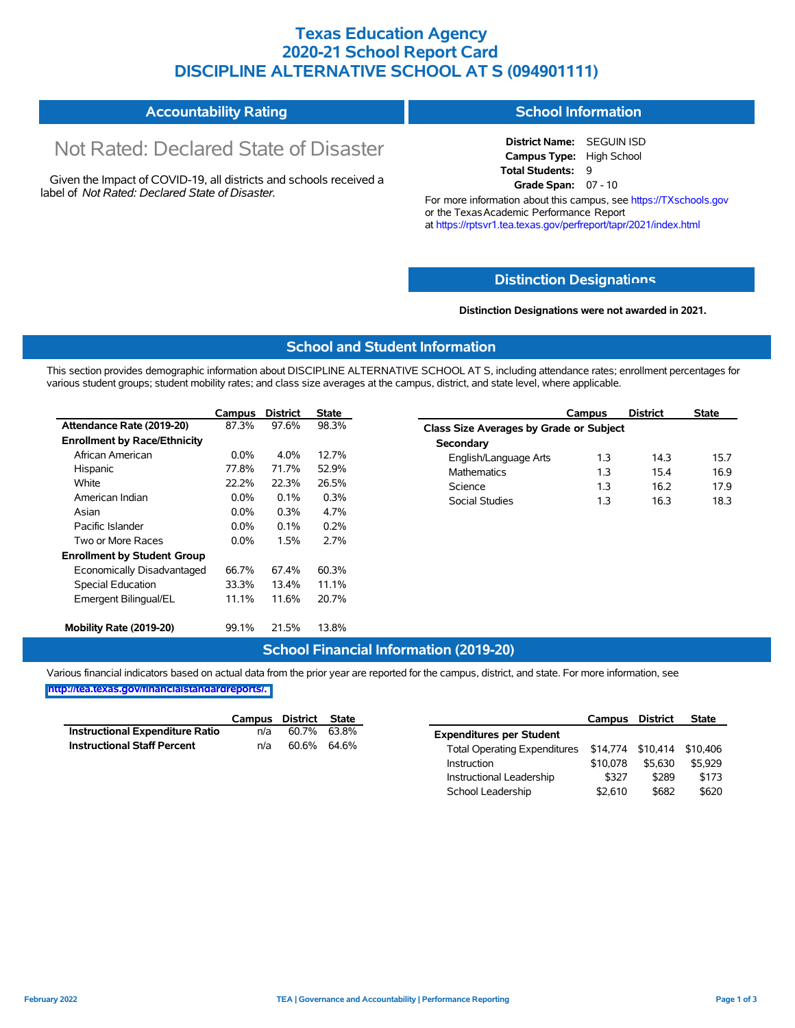### **Texas Education Agency 2020-21 School Report Card DISCIPLINE ALTERNATIVE SCHOOL AT S (094901111)**

#### **Accountability Rating School Information**

# Not Rated: Declared State of Disaster

Given the Impact of COVID-19, all districts and schools received a label of *Not Rated: Declared State of Disaster.*

**District Name:** SEGUIN ISD **Campus Type:** High School **Total Students:** 9 **Grade Span:** 07 - 10

For more information about this campus, see https://TXschools.gov or the Texas Academic Performance Report at https://rptsvr1.tea.texas.gov/perfreport/tapr/2021/index.html

#### **Distinction Designat[ions](https://TXschools.gov)**

**Distinction Designations were not awarded in 2021.**

School Leadership  $$2,610$  \$682 \$620

#### **School and Student Information**

This section provides demographic information about DISCIPLINE ALTERNATIVE SCHOOL AT S, including attendance rates; enrollment percentages for various student groups; student mobility rates; and class size averages at the campus, district, and state level, where applicable.

|                                     | Campus  | <b>District</b> | <b>State</b> | <b>District</b><br>Campus               | <b>State</b> |
|-------------------------------------|---------|-----------------|--------------|-----------------------------------------|--------------|
| Attendance Rate (2019-20)           | 87.3%   | 97.6%           | 98.3%        | Class Size Averages by Grade or Subject |              |
| <b>Enrollment by Race/Ethnicity</b> |         |                 |              | Secondary                               |              |
| African American                    | $0.0\%$ | 4.0%            | 12.7%        | 1.3<br>English/Language Arts<br>14.3    | 15.7         |
| Hispanic                            | 77.8%   | 71.7%           | 52.9%        | 1.3<br>15.4<br><b>Mathematics</b>       | 16.9         |
| White                               | 22.2%   | 22.3%           | 26.5%        | 1.3<br>Science<br>16.2                  | 17.9         |
| American Indian                     | $0.0\%$ | $0.1\%$         | 0.3%         | 1.3<br>16.3<br>Social Studies           | 18.3         |
| Asian                               | $0.0\%$ | 0.3%            | 4.7%         |                                         |              |
| Pacific Islander                    | 0.0%    | 0.1%            | 0.2%         |                                         |              |
| Two or More Races                   | $0.0\%$ | 1.5%            | 2.7%         |                                         |              |
| <b>Enrollment by Student Group</b>  |         |                 |              |                                         |              |
| Economically Disadvantaged          | 66.7%   | 67.4%           | 60.3%        |                                         |              |
| Special Education                   | 33.3%   | 13.4%           | 11.1%        |                                         |              |
| Emergent Bilingual/EL               | 11.1%   | 11.6%           | 20.7%        |                                         |              |
|                                     |         |                 |              |                                         |              |
| Mobility Rate (2019-20)             | 99.1%   | 21.5%           | 13.8%        |                                         |              |

#### **School Financial Information (2019-20)**

Various financial indicators based on actual data from the prior year are reported for the campus, district, and state. For more information, see

**[http://tea.texas.gov/financialstandardreports/.](http://tea.texas.gov/financialstandardreports/)**

|                                        | Campus | District | <b>State</b> |                                                | Campus   | <b>District</b> | <b>State</b> |
|----------------------------------------|--------|----------|--------------|------------------------------------------------|----------|-----------------|--------------|
| <b>Instructional Expenditure Ratio</b> | n/a    | 60.7%    | 63.8%        | <b>Expenditures per Student</b>                |          |                 |              |
| <b>Instructional Staff Percent</b>     | n/a    | 60.6%    | 64.6%        | Total Operating Expenditures \$14,774 \$10,414 |          |                 | \$10.406     |
|                                        |        |          |              | Instruction                                    | \$10.078 | \$5,630         | \$5.929      |
|                                        |        |          |              | Instructional Leadership                       | \$327    | \$289           | \$173        |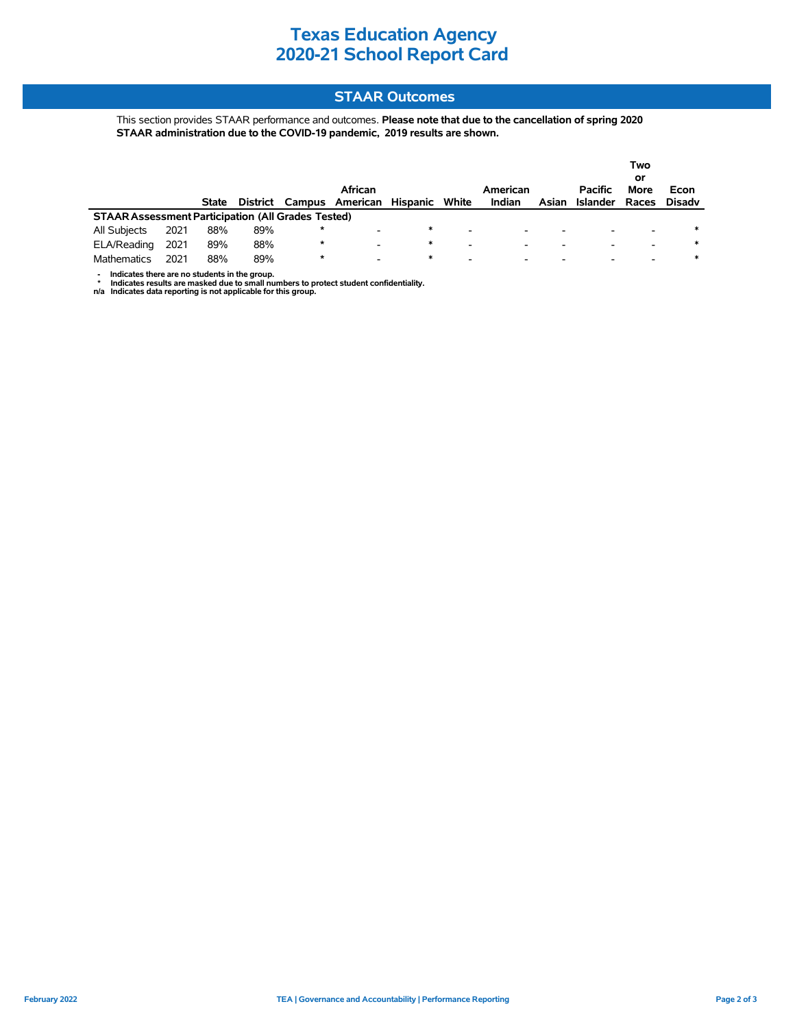## **Texas Education Agency 2020-21 School Report Card**

#### **STAAR Outcomes**

This section provides STAAR performance and outcomes. **Please note that due to the cancellation of spring 2020 STAAR administration due to the COVID-19 pandemic, 2019 results are shown.**

|                                                           |      |              |          |        | African                  |          |       | American |       | <b>Pacific</b>           | Two<br>or<br><b>More</b> | Econ   |
|-----------------------------------------------------------|------|--------------|----------|--------|--------------------------|----------|-------|----------|-------|--------------------------|--------------------------|--------|
|                                                           |      | <b>State</b> | District | Campus | American                 | Hispanic | White | Indian   | Asian | Islander                 | Races                    | Disadv |
| <b>STAAR Assessment Participation (All Grades Tested)</b> |      |              |          |        |                          |          |       |          |       |                          |                          |        |
| All Subjects                                              | 2021 | 88%          | 89%      | *      | -                        | $\ast$   | -     | -        | -     | $\overline{\phantom{0}}$ | -                        | $\ast$ |
| ELA/Reading                                               | 2021 | 89%          | 88%      | *      | $\overline{\phantom{0}}$ | $\ast$   | -     | -        | -     | $\overline{\phantom{0}}$ | -                        | ∗      |
| Mathematics                                               | 2021 | 88%          | 89%      | *      |                          | ∗        | -     |          |       |                          |                          | ∗      |

- Indicates there are no students in the group.<br>\* Indicates results are masked due to small numbers to protect student confidentiality.<br>n/a Indicates data reporting is not applicable for this group.